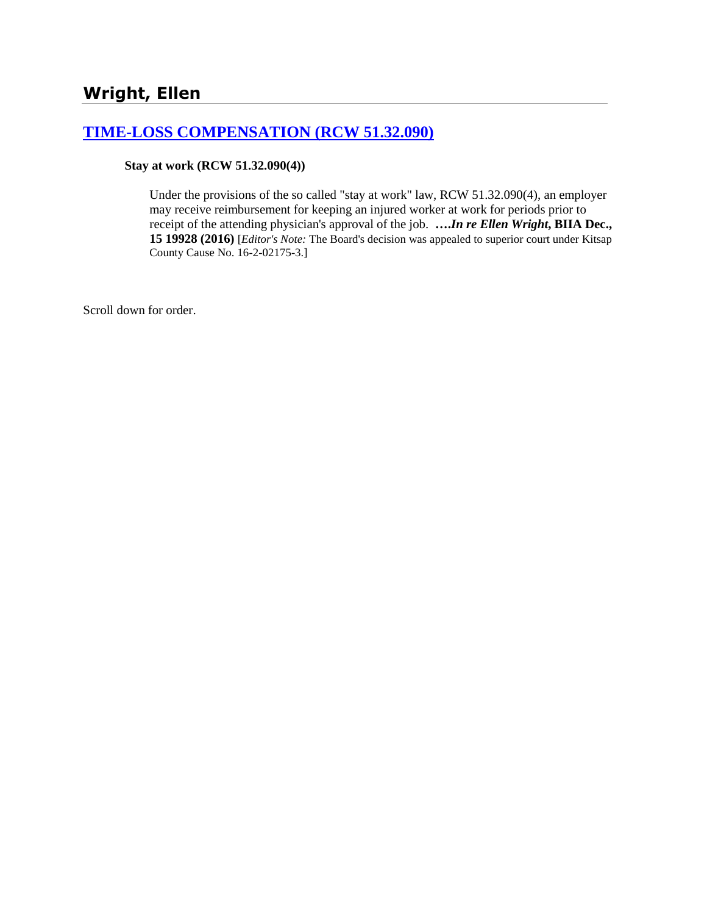## **[TIME-LOSS COMPENSATION \(RCW 51.32.090\)](http://www.biia.wa.gov/SDSubjectIndex.html#TIME_LOSS_COMPENSATION)**

#### **Stay at work (RCW 51.32.090(4))**

Under the provisions of the so called "stay at work" law, RCW 51.32.090(4), an employer may receive reimbursement for keeping an injured worker at work for periods prior to receipt of the attending physician's approval of the job. **….***In re Ellen Wright***, BIIA Dec., 15 19928 (2016)** [*Editor's Note:* The Board's decision was appealed to superior court under Kitsap County Cause No. 16-2-02175-3.]

Scroll down for order.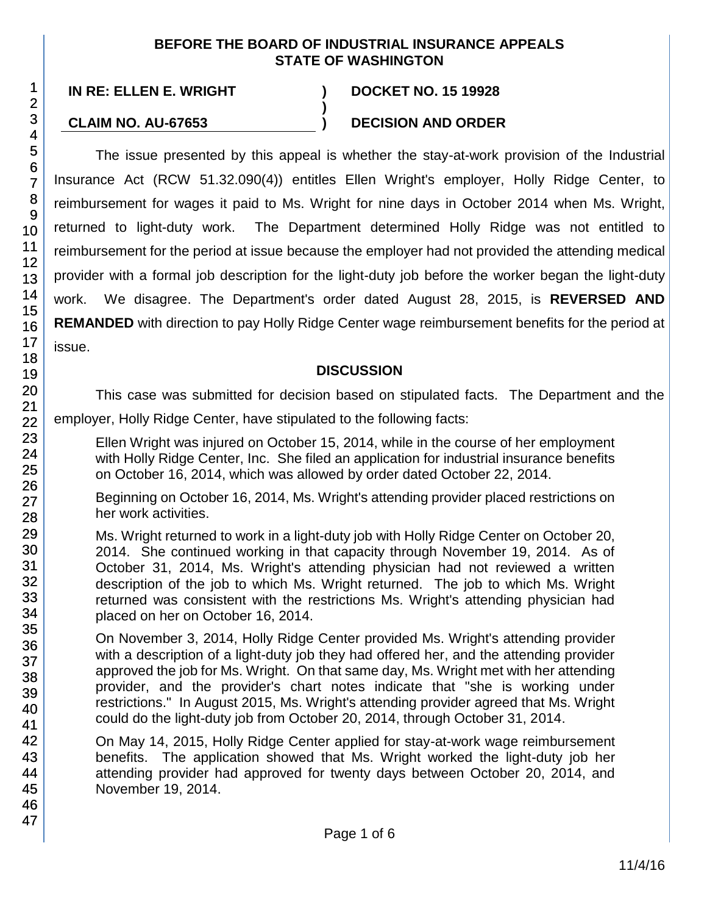#### **BEFORE THE BOARD OF INDUSTRIAL INSURANCE APPEALS STATE OF WASHINGTON**

**)**

**IN RE: ELLEN E. WRIGHT ) DOCKET NO. 15 19928**

## **CLAIM NO. AU-67653 ) DECISION AND ORDER**

The issue presented by this appeal is whether the stay-at-work provision of the Industrial Insurance Act (RCW 51.32.090(4)) entitles Ellen Wright's employer, Holly Ridge Center, to reimbursement for wages it paid to Ms. Wright for nine days in October 2014 when Ms. Wright, returned to light-duty work. The Department determined Holly Ridge was not entitled to reimbursement for the period at issue because the employer had not provided the attending medical provider with a formal job description for the light-duty job before the worker began the light-duty work. We disagree. The Department's order dated August 28, 2015, is **REVERSED AND REMANDED** with direction to pay Holly Ridge Center wage reimbursement benefits for the period at issue.

### **DISCUSSION**

This case was submitted for decision based on stipulated facts. The Department and the

employer, Holly Ridge Center, have stipulated to the following facts:

Ellen Wright was injured on October 15, 2014, while in the course of her employment with Holly Ridge Center, Inc. She filed an application for industrial insurance benefits on October 16, 2014, which was allowed by order dated October 22, 2014.

Beginning on October 16, 2014, Ms. Wright's attending provider placed restrictions on her work activities.

Ms. Wright returned to work in a light-duty job with Holly Ridge Center on October 20, 2014. She continued working in that capacity through November 19, 2014. As of October 31, 2014, Ms. Wright's attending physician had not reviewed a written description of the job to which Ms. Wright returned. The job to which Ms. Wright returned was consistent with the restrictions Ms. Wright's attending physician had placed on her on October 16, 2014.

On November 3, 2014, Holly Ridge Center provided Ms. Wright's attending provider with a description of a light-duty job they had offered her, and the attending provider approved the job for Ms. Wright. On that same day, Ms. Wright met with her attending provider, and the provider's chart notes indicate that "she is working under restrictions." In August 2015, Ms. Wright's attending provider agreed that Ms. Wright could do the light-duty job from October 20, 2014, through October 31, 2014.

On May 14, 2015, Holly Ridge Center applied for stay-at-work wage reimbursement benefits. The application showed that Ms. Wright worked the light-duty job her attending provider had approved for twenty days between October 20, 2014, and November 19, 2014.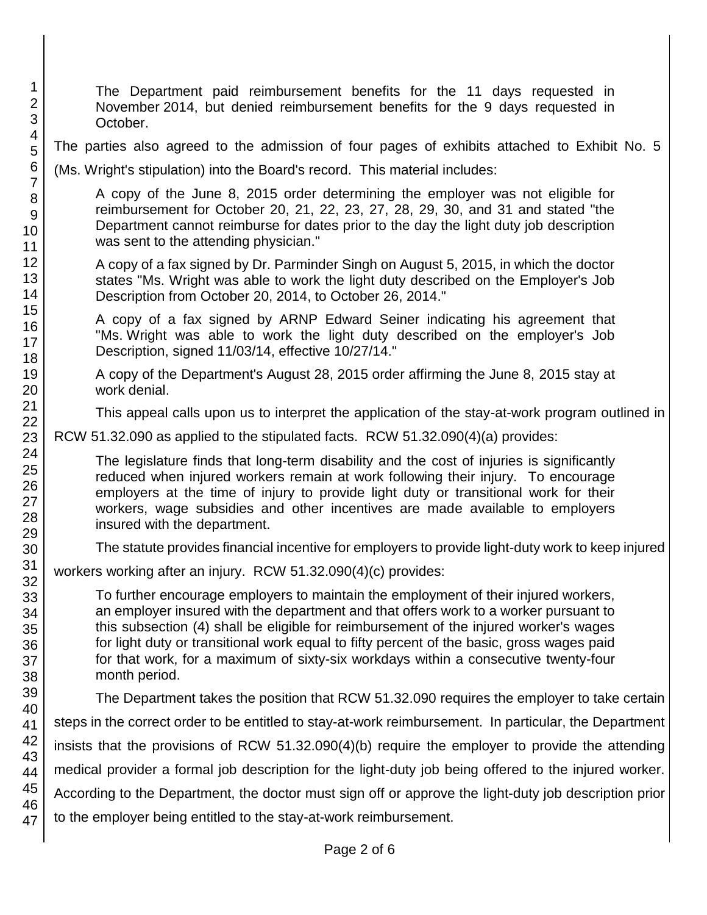1 2 3 4 5 6 7 8 9 10 11 12 13 14 15 16 17 18 19 20 21 22 23 24 25 26 27 28 29 30 31 32 33 34 35 36 37 38 39 40 41 42 43 44 45 46 47 The Department paid reimbursement benefits for the 11 days requested in November 2014, but denied reimbursement benefits for the 9 days requested in October. The parties also agreed to the admission of four pages of exhibits attached to Exhibit No. 5 (Ms. Wright's stipulation) into the Board's record. This material includes: A copy of the June 8, 2015 order determining the employer was not eligible for reimbursement for October 20, 21, 22, 23, 27, 28, 29, 30, and 31 and stated "the Department cannot reimburse for dates prior to the day the light duty job description was sent to the attending physician." A copy of a fax signed by Dr. Parminder Singh on August 5, 2015, in which the doctor states "Ms. Wright was able to work the light duty described on the Employer's Job Description from October 20, 2014, to October 26, 2014." A copy of a fax signed by ARNP Edward Seiner indicating his agreement that "Ms. Wright was able to work the light duty described on the employer's Job Description, signed 11/03/14, effective 10/27/14." A copy of the Department's August 28, 2015 order affirming the June 8, 2015 stay at work denial. This appeal calls upon us to interpret the application of the stay-at-work program outlined in RCW 51.32.090 as applied to the stipulated facts. RCW 51.32.090(4)(a) provides: The legislature finds that long-term disability and the cost of injuries is significantly reduced when injured workers remain at work following their injury. To encourage employers at the time of injury to provide light duty or transitional work for their workers, wage subsidies and other incentives are made available to employers insured with the department. The statute provides financial incentive for employers to provide light-duty work to keep injured workers working after an injury. RCW 51.32.090(4)(c) provides: To further encourage employers to maintain the employment of their injured workers, an employer insured with the department and that offers work to a worker pursuant to this subsection (4) shall be eligible for reimbursement of the injured worker's wages for light duty or transitional work equal to fifty percent of the basic, gross wages paid for that work, for a maximum of sixty-six workdays within a consecutive twenty-four month period. The Department takes the position that RCW 51.32.090 requires the employer to take certain steps in the correct order to be entitled to stay-at-work reimbursement. In particular, the Department insists that the provisions of RCW 51.32.090(4)(b) require the employer to provide the attending medical provider a formal job description for the light-duty job being offered to the injured worker. According to the Department, the doctor must sign off or approve the light-duty job description prior to the employer being entitled to the stay-at-work reimbursement.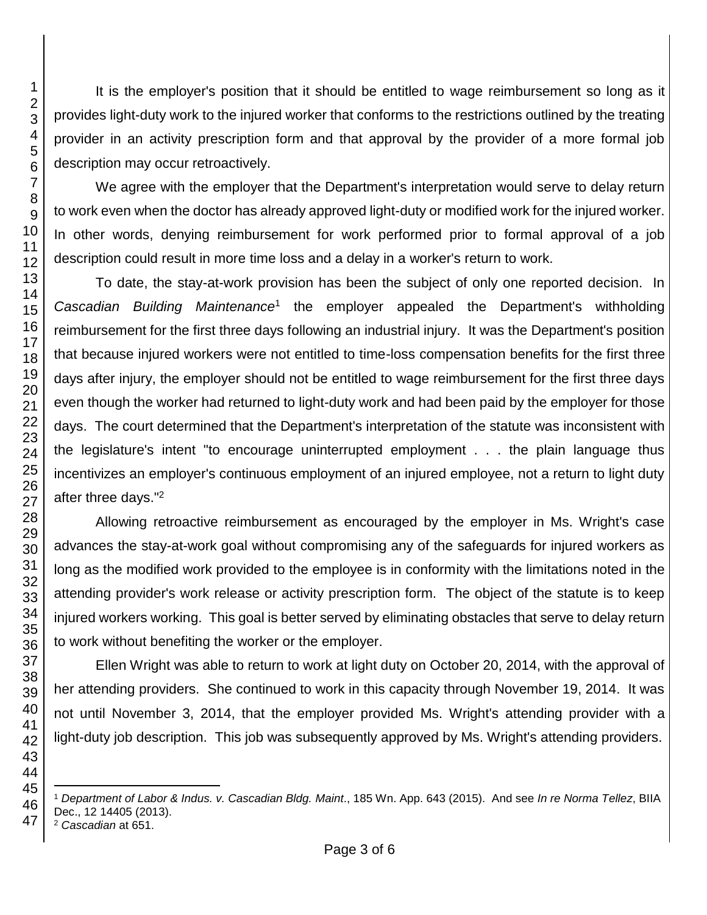provides light-duty work to the injured worker that conforms to the restrictions outlined by the treating provider in an activity prescription form and that approval by the provider of a more formal job description may occur retroactively. We agree with the employer that the Department's interpretation would serve to delay return to work even when the doctor has already approved light-duty or modified work for the injured worker. In other words, denying reimbursement for work performed prior to formal approval of a job description could result in more time loss and a delay in a worker's return to work. To date, the stay-at-work provision has been the subject of only one reported decision. In Cascadian Building Maintenance<sup>1</sup> the employer appealed the Department's withholding reimbursement for the first three days following an industrial injury. It was the Department's position that because injured workers were not entitled to time-loss compensation benefits for the first three days after injury, the employer should not be entitled to wage reimbursement for the first three days even though the worker had returned to light-duty work and had been paid by the employer for those days. The court determined that the Department's interpretation of the statute was inconsistent with the legislature's intent "to encourage uninterrupted employment . . . the plain language thus incentivizes an employer's continuous employment of an injured employee, not a return to light duty after three days."<sup>2</sup> Allowing retroactive reimbursement as encouraged by the employer in Ms. Wright's case advances the stay-at-work goal without compromising any of the safeguards for injured workers as long as the modified work provided to the employee is in conformity with the limitations noted in the attending provider's work release or activity prescription form. The object of the statute is to keep injured workers working. This goal is better served by eliminating obstacles that serve to delay return to work without benefiting the worker or the employer.

 

> Ellen Wright was able to return to work at light duty on October 20, 2014, with the approval of her attending providers. She continued to work in this capacity through November 19, 2014. It was not until November 3, 2014, that the employer provided Ms. Wright's attending provider with a light-duty job description. This job was subsequently approved by Ms. Wright's attending providers.

It is the employer's position that it should be entitled to wage reimbursement so long as it

- l *Department of Labor & Indus. v. Cascadian Bldg. Maint*., 185 Wn. App. 643 (2015). And see *In re Norma Tellez*, BIIA Dec., 12 14405 (2013).
- *Cascadian* at 651.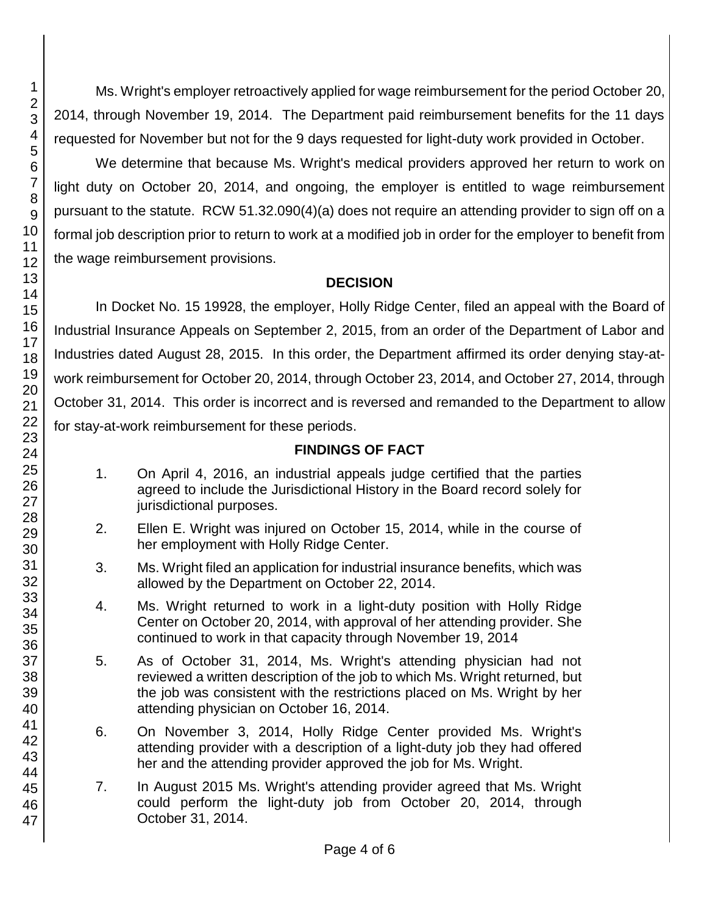45 46 47

1

Ms. Wright's employer retroactively applied for wage reimbursement for the period October 20, 2014, through November 19, 2014. The Department paid reimbursement benefits for the 11 days requested for November but not for the 9 days requested for light-duty work provided in October.

We determine that because Ms. Wright's medical providers approved her return to work on light duty on October 20, 2014, and ongoing, the employer is entitled to wage reimbursement pursuant to the statute. RCW 51.32.090(4)(a) does not require an attending provider to sign off on a formal job description prior to return to work at a modified job in order for the employer to benefit from the wage reimbursement provisions.

## **DECISION**

In Docket No. 15 19928, the employer, Holly Ridge Center, filed an appeal with the Board of Industrial Insurance Appeals on September 2, 2015, from an order of the Department of Labor and Industries dated August 28, 2015. In this order, the Department affirmed its order denying stay-atwork reimbursement for October 20, 2014, through October 23, 2014, and October 27, 2014, through October 31, 2014. This order is incorrect and is reversed and remanded to the Department to allow for stay-at-work reimbursement for these periods.

# **FINDINGS OF FACT**

- 1. On April 4, 2016, an industrial appeals judge certified that the parties agreed to include the Jurisdictional History in the Board record solely for jurisdictional purposes.
- 2. Ellen E. Wright was injured on October 15, 2014, while in the course of her employment with Holly Ridge Center.
- 3. Ms. Wright filed an application for industrial insurance benefits, which was allowed by the Department on October 22, 2014.
- 4. Ms. Wright returned to work in a light-duty position with Holly Ridge Center on October 20, 2014, with approval of her attending provider. She continued to work in that capacity through November 19, 2014
- 5. As of October 31, 2014, Ms. Wright's attending physician had not reviewed a written description of the job to which Ms. Wright returned, but the job was consistent with the restrictions placed on Ms. Wright by her attending physician on October 16, 2014.
- 6. On November 3, 2014, Holly Ridge Center provided Ms. Wright's attending provider with a description of a light-duty job they had offered her and the attending provider approved the job for Ms. Wright.
- 7. In August 2015 Ms. Wright's attending provider agreed that Ms. Wright could perform the light-duty job from October 20, 2014, through October 31, 2014.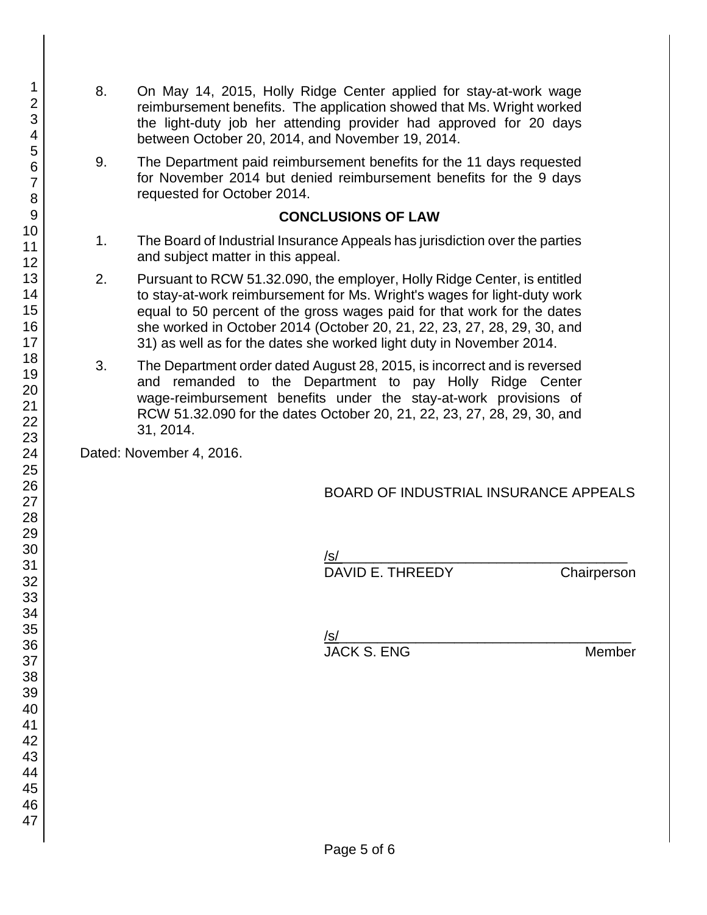- 8. On May 14, 2015, Holly Ridge Center applied for stay-at-work wage reimbursement benefits. The application showed that Ms. Wright worked the light-duty job her attending provider had approved for 20 days between October 20, 2014, and November 19, 2014.
- 9. The Department paid reimbursement benefits for the 11 days requested for November 2014 but denied reimbursement benefits for the 9 days requested for October 2014.

### **CONCLUSIONS OF LAW**

- 1. The Board of Industrial Insurance Appeals has jurisdiction over the parties and subject matter in this appeal.
- 2. Pursuant to RCW 51.32.090, the employer, Holly Ridge Center, is entitled to stay-at-work reimbursement for Ms. Wright's wages for light-duty work equal to 50 percent of the gross wages paid for that work for the dates she worked in October 2014 (October 20, 21, 22, 23, 27, 28, 29, 30, and 31) as well as for the dates she worked light duty in November 2014.
- 3. The Department order dated August 28, 2015, is incorrect and is reversed and remanded to the Department to pay Holly Ridge Center wage-reimbursement benefits under the stay-at-work provisions of RCW 51.32.090 for the dates October 20, 21, 22, 23, 27, 28, 29, 30, and 31, 2014.

Dated: November 4, 2016.

## BOARD OF INDUSTRIAL INSURANCE APPEALS

/s/ \_\_\_\_\_\_\_\_\_\_\_\_\_\_\_\_\_\_\_\_\_\_\_\_\_\_\_\_\_\_\_\_\_\_\_\_\_

DAVID E. THREEDY Chairperson

| JACK S. ENG | Membe |
|-------------|-------|

**JACK S. ENG. ENG. AND Member**